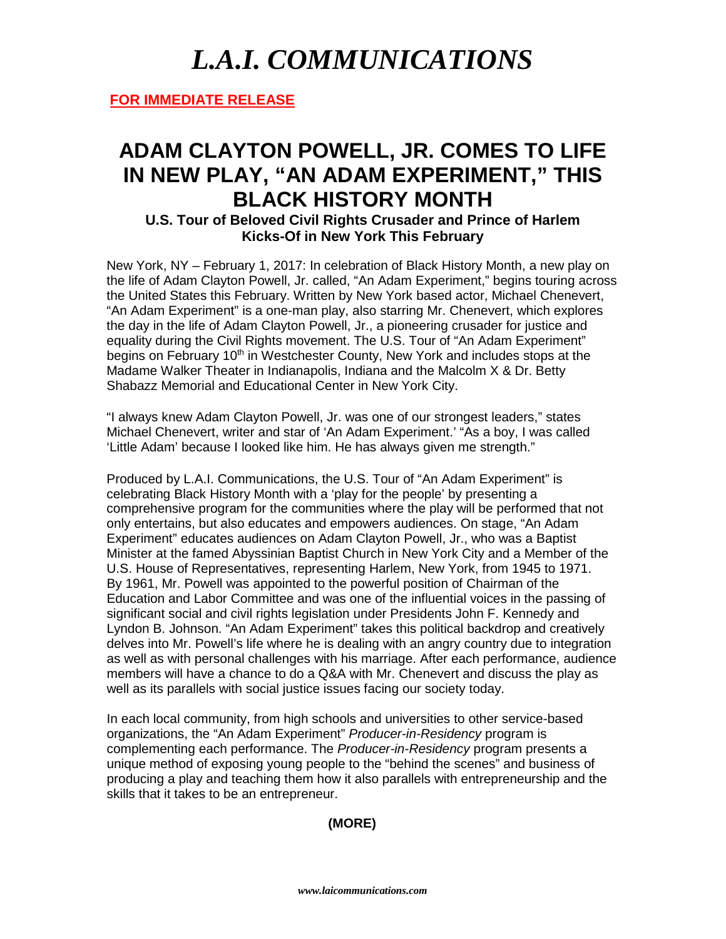## *L.A.I. COMMUNICATIONS*

**FOR IMMEDIATE RELEASE**

### **ADAM CLAYTON POWELL, JR. COMES TO LIFE IN NEW PLAY, "AN ADAM EXPERIMENT," THIS BLACK HISTORY MONTH**

**U.S. Tour of Beloved Civil Rights Crusader and Prince of Harlem Kicks-Of in New York This February**

New York, NY – February 1, 2017: In celebration of Black History Month, a new play on the life of Adam Clayton Powell, Jr. called, "An Adam Experiment," begins touring across the United States this February. Written by New York based actor, Michael Chenevert, "An Adam Experiment" is a one-man play, also starring Mr. Chenevert, which explores the day in the life of Adam Clayton Powell, Jr., a pioneering crusader for justice and equality during the Civil Rights movement. The U.S. Tour of "An Adam Experiment" begins on February 10<sup>th</sup> in Westchester County, New York and includes stops at the Madame Walker Theater in Indianapolis, Indiana and the Malcolm X & Dr. Betty Shabazz Memorial and Educational Center in New York City.

"I always knew Adam Clayton Powell, Jr. was one of our strongest leaders," states Michael Chenevert, writer and star of 'An Adam Experiment.' "As a boy, I was called 'Little Adam' because I looked like him. He has always given me strength."

Produced by L.A.I. Communications, the U.S. Tour of "An Adam Experiment" is celebrating Black History Month with a 'play for the people' by presenting a comprehensive program for the communities where the play will be performed that not only entertains, but also educates and empowers audiences. On stage, "An Adam Experiment" educates audiences on Adam Clayton Powell, Jr., who was a Baptist Minister at the famed Abyssinian Baptist Church in New York City and a Member of the U.S. House of Representatives, representing Harlem, New York, from 1945 to 1971. By 1961, Mr. Powell was appointed to the powerful position of Chairman of the Education and Labor Committee and was one of the influential voices in the passing of significant social and civil rights legislation under Presidents John F. Kennedy and Lyndon B. Johnson. "An Adam Experiment" takes this political backdrop and creatively delves into Mr. Powell's life where he is dealing with an angry country due to integration as well as with personal challenges with his marriage. After each performance, audience members will have a chance to do a Q&A with Mr. Chenevert and discuss the play as well as its parallels with social justice issues facing our society today.

In each local community, from high schools and universities to other service-based organizations, the "An Adam Experiment" *Producer-in-Residency* program is complementing each performance. The *Producer-in-Residency* program presents a unique method of exposing young people to the "behind the scenes" and business of producing a play and teaching them how it also parallels with entrepreneurship and the skills that it takes to be an entrepreneur.

#### **(MORE)**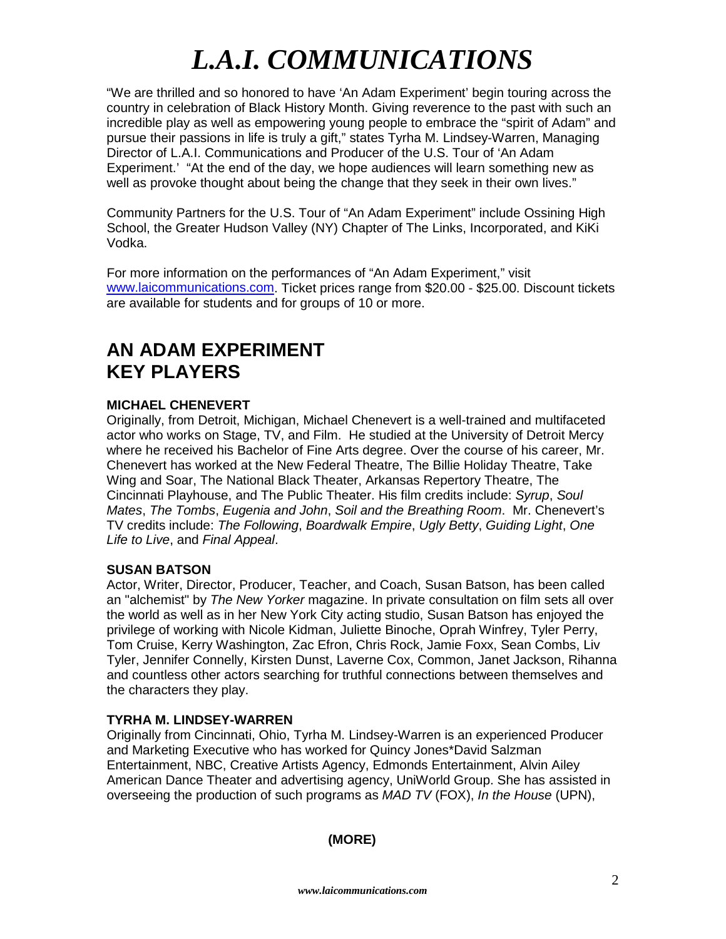# *L.A.I. COMMUNICATIONS*

"We are thrilled and so honored to have 'An Adam Experiment' begin touring across the country in celebration of Black History Month. Giving reverence to the past with such an incredible play as well as empowering young people to embrace the "spirit of Adam" and pursue their passions in life is truly a gift," states Tyrha M. Lindsey-Warren, Managing Director of L.A.I. Communications and Producer of the U.S. Tour of 'An Adam Experiment.' "At the end of the day, we hope audiences will learn something new as well as provoke thought about being the change that they seek in their own lives."

Community Partners for the U.S. Tour of "An Adam Experiment" include Ossining High School, the Greater Hudson Valley (NY) Chapter of The Links, Incorporated, and KiKi Vodka.

For more information on the performances of "An Adam Experiment," visit [www.laicommunications.com.](http://www.laicommunications.com/) Ticket prices range from \$20.00 - \$25.00. Discount tickets are available for students and for groups of 10 or more.

### **AN ADAM EXPERIMENT KEY PLAYERS**

#### **MICHAEL CHENEVERT**

Originally, from Detroit, Michigan, Michael Chenevert is a well-trained and multifaceted actor who works on Stage, TV, and Film. He studied at the University of Detroit Mercy where he received his Bachelor of Fine Arts degree. Over the course of his career, Mr. Chenevert has worked at the New Federal Theatre, The Billie Holiday Theatre, Take Wing and Soar, The National Black Theater, Arkansas Repertory Theatre, The Cincinnati Playhouse, and The Public Theater. His film credits include: *Syrup*, *Soul Mates*, *The Tombs*, *Eugenia and John*, *Soil and the Breathing Room*. Mr. Chenevert's TV credits include: *The Following*, *Boardwalk Empire*, *Ugly Betty*, *Guiding Light*, *One Life to Live*, and *Final Appeal*.

#### **SUSAN BATSON**

Actor, Writer, Director, Producer, Teacher, and Coach, Susan Batson, has been called an "alchemist" by *The New Yorker* magazine. In private consultation on film sets all over the world as well as in her New York City acting studio, Susan Batson has enjoyed the privilege of working with Nicole Kidman, Juliette Binoche, Oprah Winfrey, Tyler Perry, Tom Cruise, Kerry Washington, Zac Efron, Chris Rock, Jamie Foxx, Sean Combs, Liv Tyler, Jennifer Connelly, Kirsten Dunst, Laverne Cox, Common, Janet Jackson, Rihanna and countless other actors searching for truthful connections between themselves and the characters they play.

#### **TYRHA M. LINDSEY-WARREN**

Originally from Cincinnati, Ohio, Tyrha M. Lindsey-Warren is an experienced Producer and Marketing Executive who has worked for Quincy Jones\*David Salzman Entertainment, NBC, Creative Artists Agency, Edmonds Entertainment, Alvin Ailey American Dance Theater and advertising agency, UniWorld Group. She has assisted in overseeing the production of such programs as *MAD TV* (FOX), *In the House* (UPN),